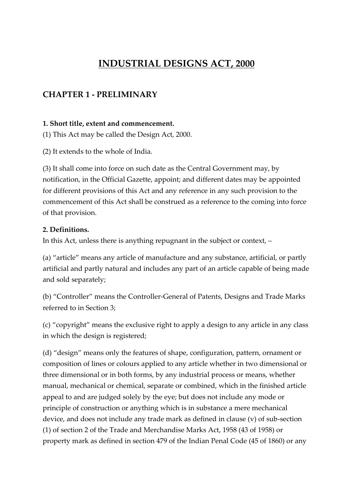# **INDUSTRIAL DESIGNS ACT, 2000**

# **CHAPTER 1 - PRELIMINARY**

#### **1. Short title, extent and commencement.**

(1) This Act may be called the Design Act, 2000.

(2) It extends to the whole of India.

(3) It shall come into force on such date as the Central Government may, by notification, in the Official Gazette, appoint; and different dates may be appointed for different provisions of this Act and any reference in any such provision to the commencement of this Act shall be construed as a reference to the coming into force of that provision.

#### **2. Definitions.**

In this Act, unless there is anything repugnant in the subject or context, –

(a) "article" means any article of manufacture and any substance, artificial, or partly artificial and partly natural and includes any part of an article capable of being made and sold separately;

(b) "Controller" means the Controller-General of Patents, Designs and Trade Marks referred to in Section 3;

(c) "copyright" means the exclusive right to apply a design to any article in any class in which the design is registered;

(d) "design" means only the features of shape, configuration, pattern, ornament or composition of lines or colours applied to any article whether in two dimensional or three dimensional or in both forms, by any industrial process or means, whether manual, mechanical or chemical, separate or combined, which in the finished article appeal to and are judged solely by the eye; but does not include any mode or principle of construction or anything which is in substance a mere mechanical device, and does not include any trade mark as defined in clause (v) of sub-section (1) of section 2 of the Trade and Merchandise Marks Act, 1958 (43 of 1958) or property mark as defined in section 479 of the Indian Penal Code (45 of 1860) or any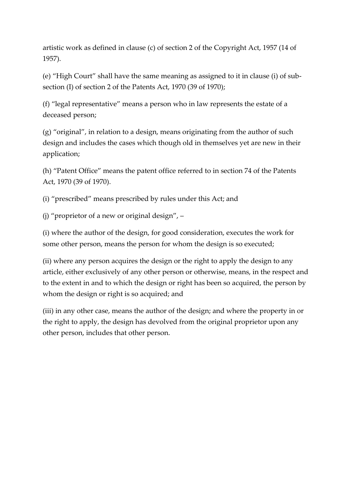artistic work as defined in clause (c) of section 2 of the Copyright Act, 1957 (14 of 1957).

(e) "High Court" shall have the same meaning as assigned to it in clause (i) of subsection (I) of section 2 of the Patents Act, 1970 (39 of 1970);

(f) "legal representative" means a person who in law represents the estate of a deceased person;

(g) "original", in relation to a design, means originating from the author of such design and includes the cases which though old in themselves yet are new in their application;

(h) "Patent Office" means the patent office referred to in section 74 of the Patents Act, 1970 (39 of 1970).

(i) "prescribed" means prescribed by rules under this Act; and

(j) "proprietor of a new or original design", –

(i) where the author of the design, for good consideration, executes the work for some other person, means the person for whom the design is so executed;

(ii) where any person acquires the design or the right to apply the design to any article, either exclusively of any other person or otherwise, means, in the respect and to the extent in and to which the design or right has been so acquired, the person by whom the design or right is so acquired; and

(iii) in any other case, means the author of the design; and where the property in or the right to apply, the design has devolved from the original proprietor upon any other person, includes that other person.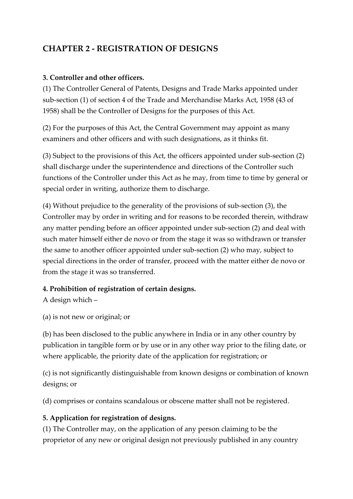# **CHAPTER 2 - REGISTRATION OF DESIGNS**

#### **3. Controller and other officers.**

(1) The Controller General of Patents, Designs and Trade Marks appointed under sub-section (1) of section 4 of the Trade and Merchandise Marks Act, 1958 (43 of 1958) shall be the Controller of Designs for the purposes of this Act.

(2) For the purposes of this Act, the Central Government may appoint as many examiners and other officers and with such designations, as it thinks fit.

(3) Subject to the provisions of this Act, the officers appointed under sub-section (2) shall discharge under the superintendence and directions of the Controller such functions of the Controller under this Act as he may, from time to time by general or special order in writing, authorize them to discharge.

(4) Without prejudice to the generality of the provisions of sub-section (3), the Controller may by order in writing and for reasons to be recorded therein, withdraw any matter pending before an officer appointed under sub-section (2) and deal with such mater himself either de novo or from the stage it was so withdrawn or transfer the same to another officer appointed under sub-section (2) who may, subject to special directions in the order of transfer, proceed with the matter either de novo or from the stage it was so transferred.

#### **4. Prohibition of registration of certain designs.**

A design which –

(a) is not new or original; or

(b) has been disclosed to the public anywhere in India or in any other country by publication in tangible form or by use or in any other way prior to the filing date, or where applicable, the priority date of the application for registration; or

(c) is not significantly distinguishable from known designs or combination of known designs; or

(d) comprises or contains scandalous or obscene matter shall not be registered.

#### **5. Application for registration of designs.**

(1) The Controller may, on the application of any person claiming to be the proprietor of any new or original design not previously published in any country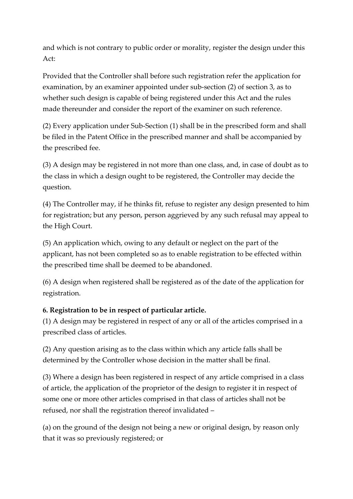and which is not contrary to public order or morality, register the design under this Act:

Provided that the Controller shall before such registration refer the application for examination, by an examiner appointed under sub-section (2) of section 3, as to whether such design is capable of being registered under this Act and the rules made thereunder and consider the report of the examiner on such reference.

(2) Every application under Sub-Section (1) shall be in the prescribed form and shall be filed in the Patent Office in the prescribed manner and shall be accompanied by the prescribed fee.

(3) A design may be registered in not more than one class, and, in case of doubt as to the class in which a design ought to be registered, the Controller may decide the question.

(4) The Controller may, if he thinks fit, refuse to register any design presented to him for registration; but any person, person aggrieved by any such refusal may appeal to the High Court.

(5) An application which, owing to any default or neglect on the part of the applicant, has not been completed so as to enable registration to be effected within the prescribed time shall be deemed to be abandoned.

(6) A design when registered shall be registered as of the date of the application for registration.

## **6. Registration to be in respect of particular article.**

(1) A design may be registered in respect of any or all of the articles comprised in a prescribed class of articles.

(2) Any question arising as to the class within which any article falls shall be determined by the Controller whose decision in the matter shall be final.

(3) Where a design has been registered in respect of any article comprised in a class of article, the application of the proprietor of the design to register it in respect of some one or more other articles comprised in that class of articles shall not be refused, nor shall the registration thereof invalidated –

(a) on the ground of the design not being a new or original design, by reason only that it was so previously registered; or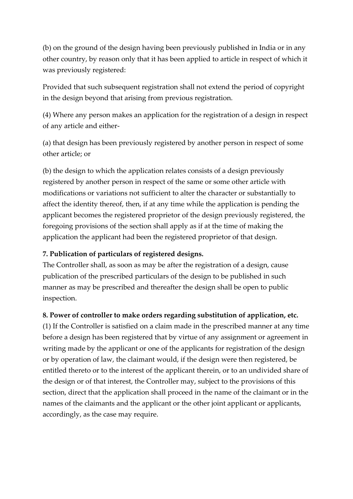(b) on the ground of the design having been previously published in India or in any other country, by reason only that it has been applied to article in respect of which it was previously registered:

Provided that such subsequent registration shall not extend the period of copyright in the design beyond that arising from previous registration.

(4) Where any person makes an application for the registration of a design in respect of any article and either-

(a) that design has been previously registered by another person in respect of some other article; or

(b) the design to which the application relates consists of a design previously registered by another person in respect of the same or some other article with modifications or variations not sufficient to alter the character or substantially to affect the identity thereof, then, if at any time while the application is pending the applicant becomes the registered proprietor of the design previously registered, the foregoing provisions of the section shall apply as if at the time of making the application the applicant had been the registered proprietor of that design.

## **7. Publication of particulars of registered designs.**

The Controller shall, as soon as may be after the registration of a design, cause publication of the prescribed particulars of the design to be published in such manner as may be prescribed and thereafter the design shall be open to public inspection.

## **8. Power of controller to make orders regarding substitution of application, etc.**

(1) If the Controller is satisfied on a claim made in the prescribed manner at any time before a design has been registered that by virtue of any assignment or agreement in writing made by the applicant or one of the applicants for registration of the design or by operation of law, the claimant would, if the design were then registered, be entitled thereto or to the interest of the applicant therein, or to an undivided share of the design or of that interest, the Controller may, subject to the provisions of this section, direct that the application shall proceed in the name of the claimant or in the names of the claimants and the applicant or the other joint applicant or applicants, accordingly, as the case may require.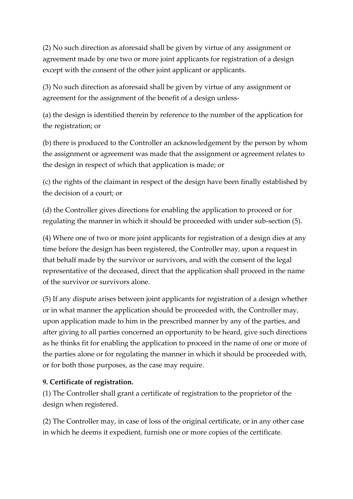(2) No such direction as aforesaid shall be given by virtue of any assignment or agreement made by one two or more joint applicants for registration of a design except with the consent of the other joint applicant or applicants.

(3) No such direction as aforesaid shall be given by virtue of any assignment or agreement for the assignment of the benefit of a design unless-

(a) the design is identified therein by reference to the number of the application for the registration; or

(b) there is produced to the Controller an acknowledgement by the person by whom the assignment or agreement was made that the assignment or agreement relates to the design in respect of which that application is made; or

(c) the rights of the claimant in respect of the design have been finally established by the decision of a court; or

(d) the Controller gives directions for enabling the application to proceed or for regulating the manner in which it should be proceeded with under sub-section (5).

(4) Where one of two or more joint applicants for registration of a design dies at any time before the design has been registered, the Controller may, upon a request in that behalf made by the survivor or survivors, and with the consent of the legal representative of the deceased, direct that the application shall proceed in the name of the survivor or survivors alone.

(5) If any dispute arises between joint applicants for registration of a design whether or in what manner the application should be proceeded with, the Controller may, upon application made to him in the prescribed manner by any of the parties, and after giving to all parties concerned an opportunity to be heard, give such directions as he thinks fit for enabling the application to proceed in the name of one or more of the parties alone or for regulating the manner in which it should be proceeded with, or for both those purposes, as the case may require.

## **9. Certificate of registration.**

(1) The Controller shall grant a certificate of registration to the proprietor of the design when registered.

(2) The Controller may, in case of loss of the original certificate, or in any other case in which he deems it expedient, furnish one or more copies of the certificate.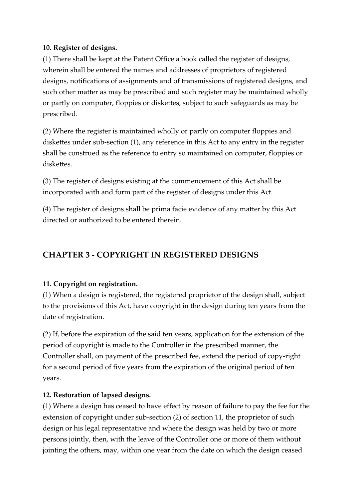#### **10. Register of designs.**

(1) There shall be kept at the Patent Office a book called the register of designs, wherein shall be entered the names and addresses of proprietors of registered designs, notifications of assignments and of transmissions of registered designs, and such other matter as may be prescribed and such register may be maintained wholly or partly on computer, floppies or diskettes, subject to such safeguards as may be prescribed.

(2) Where the register is maintained wholly or partly on computer floppies and diskettes under sub-section (1), any reference in this Act to any entry in the register shall be construed as the reference to entry so maintained on computer, floppies or diskettes.

(3) The register of designs existing at the commencement of this Act shall be incorporated with and form part of the register of designs under this Act.

(4) The register of designs shall be prima facie evidence of any matter by this Act directed or authorized to be entered therein.

# **CHAPTER 3 - COPYRIGHT IN REGISTERED DESIGNS**

## **11. Copyright on registration.**

(1) When a design is registered, the registered proprietor of the design shall, subject to the provisions of this Act, have copyright in the design during ten years from the date of registration.

(2) If, before the expiration of the said ten years, application for the extension of the period of copyright is made to the Controller in the prescribed manner, the Controller shall, on payment of the prescribed fee, extend the period of copy-right for a second period of five years from the expiration of the original period of ten years.

#### **12. Restoration of lapsed designs.**

(1) Where a design has ceased to have effect by reason of failure to pay the fee for the extension of copyright under sub-section (2) of section 11, the proprietor of such design or his legal representative and where the design was held by two or more persons jointly, then, with the leave of the Controller one or more of them without jointing the others, may, within one year from the date on which the design ceased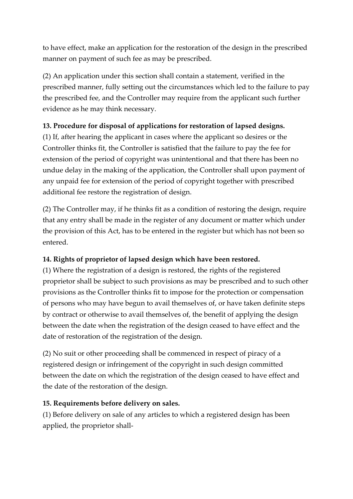to have effect, make an application for the restoration of the design in the prescribed manner on payment of such fee as may be prescribed.

(2) An application under this section shall contain a statement, verified in the prescribed manner, fully setting out the circumstances which led to the failure to pay the prescribed fee, and the Controller may require from the applicant such further evidence as he may think necessary.

## **13. Procedure for disposal of applications for restoration of lapsed designs.**

(1) If, after hearing the applicant in cases where the applicant so desires or the Controller thinks fit, the Controller is satisfied that the failure to pay the fee for extension of the period of copyright was unintentional and that there has been no undue delay in the making of the application, the Controller shall upon payment of any unpaid fee for extension of the period of copyright together with prescribed additional fee restore the registration of design.

(2) The Controller may, if he thinks fit as a condition of restoring the design, require that any entry shall be made in the register of any document or matter which under the provision of this Act, has to be entered in the register but which has not been so entered.

# **14. Rights of proprietor of lapsed design which have been restored.**

(1) Where the registration of a design is restored, the rights of the registered proprietor shall be subject to such provisions as may be prescribed and to such other provisions as the Controller thinks fit to impose for the protection or compensation of persons who may have begun to avail themselves of, or have taken definite steps by contract or otherwise to avail themselves of, the benefit of applying the design between the date when the registration of the design ceased to have effect and the date of restoration of the registration of the design.

(2) No suit or other proceeding shall be commenced in respect of piracy of a registered design or infringement of the copyright in such design committed between the date on which the registration of the design ceased to have effect and the date of the restoration of the design.

## **15. Requirements before delivery on sales.**

(1) Before delivery on sale of any articles to which a registered design has been applied, the proprietor shall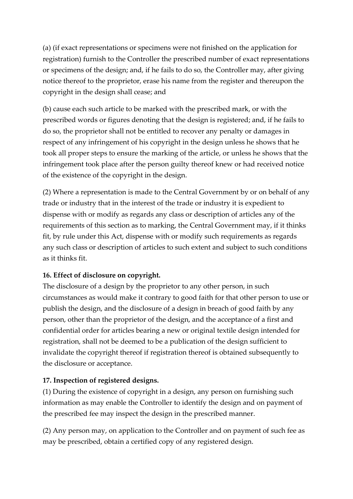(a) (if exact representations or specimens were not finished on the application for registration) furnish to the Controller the prescribed number of exact representations or specimens of the design; and, if he fails to do so, the Controller may, after giving notice thereof to the proprietor, erase his name from the register and thereupon the copyright in the design shall cease; and

(b) cause each such article to be marked with the prescribed mark, or with the prescribed words or figures denoting that the design is registered; and, if he fails to do so, the proprietor shall not be entitled to recover any penalty or damages in respect of any infringement of his copyright in the design unless he shows that he took all proper steps to ensure the marking of the article, or unless he shows that the infringement took place after the person guilty thereof knew or had received notice of the existence of the copyright in the design.

(2) Where a representation is made to the Central Government by or on behalf of any trade or industry that in the interest of the trade or industry it is expedient to dispense with or modify as regards any class or description of articles any of the requirements of this section as to marking, the Central Government may, if it thinks fit, by rule under this Act, dispense with or modify such requirements as regards any such class or description of articles to such extent and subject to such conditions as it thinks fit.

## **16. Effect of disclosure on copyright.**

The disclosure of a design by the proprietor to any other person, in such circumstances as would make it contrary to good faith for that other person to use or publish the design, and the disclosure of a design in breach of good faith by any person, other than the proprietor of the design, and the acceptance of a first and confidential order for articles bearing a new or original textile design intended for registration, shall not be deemed to be a publication of the design sufficient to invalidate the copyright thereof if registration thereof is obtained subsequently to the disclosure or acceptance.

## **17. Inspection of registered designs.**

(1) During the existence of copyright in a design, any person on furnishing such information as may enable the Controller to identify the design and on payment of the prescribed fee may inspect the design in the prescribed manner.

(2) Any person may, on application to the Controller and on payment of such fee as may be prescribed, obtain a certified copy of any registered design.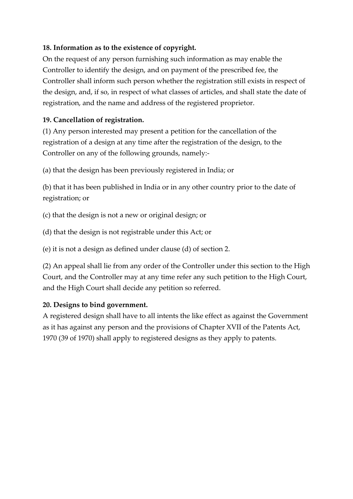## **18. Information as to the existence of copyright.**

On the request of any person furnishing such information as may enable the Controller to identify the design, and on payment of the prescribed fee, the Controller shall inform such person whether the registration still exists in respect of the design, and, if so, in respect of what classes of articles, and shall state the date of registration, and the name and address of the registered proprietor.

# **19. Cancellation of registration.**

(1) Any person interested may present a petition for the cancellation of the registration of a design at any time after the registration of the design, to the Controller on any of the following grounds, namely:-

(a) that the design has been previously registered in India; or

(b) that it has been published in India or in any other country prior to the date of registration; or

(c) that the design is not a new or original design; or

(d) that the design is not registrable under this Act; or

(e) it is not a design as defined under clause (d) of section 2.

(2) An appeal shall lie from any order of the Controller under this section to the High Court, and the Controller may at any time refer any such petition to the High Court, and the High Court shall decide any petition so referred.

## **20. Designs to bind government.**

A registered design shall have to all intents the like effect as against the Government as it has against any person and the provisions of Chapter XVII of the Patents Act, 1970 (39 of 1970) shall apply to registered designs as they apply to patents.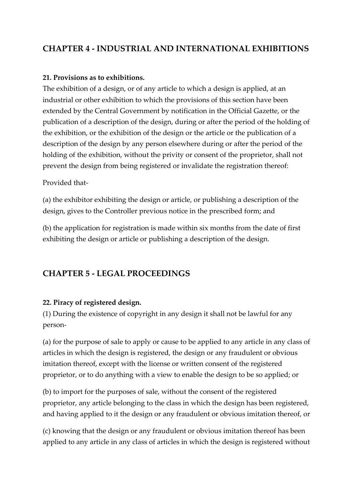# **CHAPTER 4 - INDUSTRIAL AND INTERNATIONAL EXHIBITIONS**

#### **21. Provisions as to exhibitions.**

The exhibition of a design, or of any article to which a design is applied, at an industrial or other exhibition to which the provisions of this section have been extended by the Central Government by notification in the Official Gazette, or the publication of a description of the design, during or after the period of the holding of the exhibition, or the exhibition of the design or the article or the publication of a description of the design by any person elsewhere during or after the period of the holding of the exhibition, without the privity or consent of the proprietor, shall not prevent the design from being registered or invalidate the registration thereof:

#### Provided that-

(a) the exhibitor exhibiting the design or article, or publishing a description of the design, gives to the Controller previous notice in the prescribed form; and

(b) the application for registration is made within six months from the date of first exhibiting the design or article or publishing a description of the design.

## **CHAPTER 5 - LEGAL PROCEEDINGS**

#### **22. Piracy of registered design.**

(1) During the existence of copyright in any design it shall not be lawful for any person-

(a) for the purpose of sale to apply or cause to be applied to any article in any class of articles in which the design is registered, the design or any fraudulent or obvious imitation thereof, except with the license or written consent of the registered proprietor, or to do anything with a view to enable the design to be so applied; or

(b) to import for the purposes of sale, without the consent of the registered proprietor, any article belonging to the class in which the design has been registered, and having applied to it the design or any fraudulent or obvious imitation thereof, or

(c) knowing that the design or any fraudulent or obvious imitation thereof has been applied to any article in any class of articles in which the design is registered without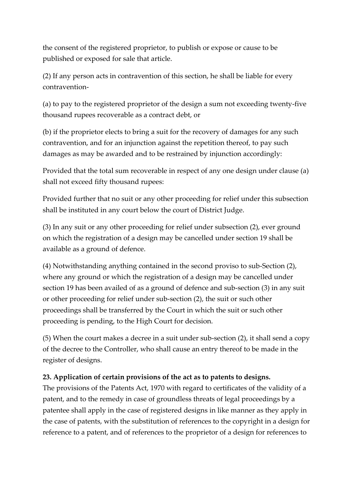the consent of the registered proprietor, to publish or expose or cause to be published or exposed for sale that article.

(2) If any person acts in contravention of this section, he shall be liable for every contravention-

(a) to pay to the registered proprietor of the design a sum not exceeding twenty-five thousand rupees recoverable as a contract debt, or

(b) if the proprietor elects to bring a suit for the recovery of damages for any such contravention, and for an injunction against the repetition thereof, to pay such damages as may be awarded and to be restrained by injunction accordingly:

Provided that the total sum recoverable in respect of any one design under clause (a) shall not exceed fifty thousand rupees:

Provided further that no suit or any other proceeding for relief under this subsection shall be instituted in any court below the court of District Judge.

(3) In any suit or any other proceeding for relief under subsection (2), ever ground on which the registration of a design may be cancelled under section 19 shall be available as a ground of defence.

(4) Notwithstanding anything contained in the second proviso to sub-Section (2), where any ground or which the registration of a design may be cancelled under section 19 has been availed of as a ground of defence and sub-section (3) in any suit or other proceeding for relief under sub-section (2), the suit or such other proceedings shall be transferred by the Court in which the suit or such other proceeding is pending, to the High Court for decision.

(5) When the court makes a decree in a suit under sub-section (2), it shall send a copy of the decree to the Controller, who shall cause an entry thereof to be made in the register of designs.

## **23. Application of certain provisions of the act as to patents to designs.**

The provisions of the Patents Act, 1970 with regard to certificates of the validity of a patent, and to the remedy in case of groundless threats of legal proceedings by a patentee shall apply in the case of registered designs in like manner as they apply in the case of patents, with the substitution of references to the copyright in a design for reference to a patent, and of references to the proprietor of a design for references to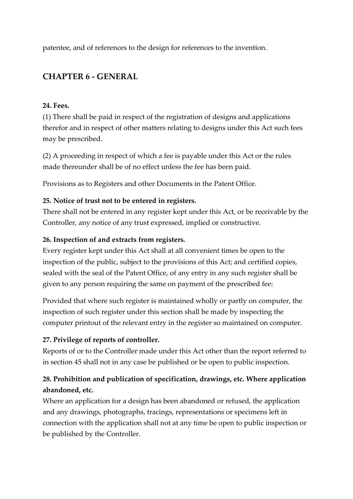patentee, and of references to the design for references to the invention.

# **CHAPTER 6 - GENERAL**

#### **24. Fees.**

(1) There shall be paid in respect of the registration of designs and applications therefor and in respect of other matters relating to designs under this Act such fees may be prescribed.

(2) A proceeding in respect of which a fee is payable under this Act or the rules made thereunder shall be of no effect unless the fee has been paid.

Provisions as to Registers and other Documents in the Patent Office.

## **25. Notice of trust not to be entered in registers.**

There shall not be entered in any register kept under this Act, or be receivable by the Controller, any notice of any trust expressed, implied or constructive.

#### **26. Inspection of and extracts from registers.**

Every register kept under this Act shall at all convenient times be open to the inspection of the public, subject to the provisions of this Act; and certified copies, sealed with the seal of the Patent Office, of any entry in any such register shall be given to any person requiring the same on payment of the prescribed fee:

Provided that where such register is maintained wholly or partly on computer, the inspection of such register under this section shall be made by inspecting the computer printout of the relevant entry in the register so maintained on computer.

## **27. Privilege of reports of controller.**

Reports of or to the Controller made under this Act other than the report referred to in section 45 shall not in any case be published or be open to public inspection.

# **28. Prohibition and publication of specification, drawings, etc. Where application abandoned, etc.**

Where an application for a design has been abandoned or refused, the application and any drawings, photographs, tracings, representations or specimens left in connection with the application shall not at any time be open to public inspection or be published by the Controller.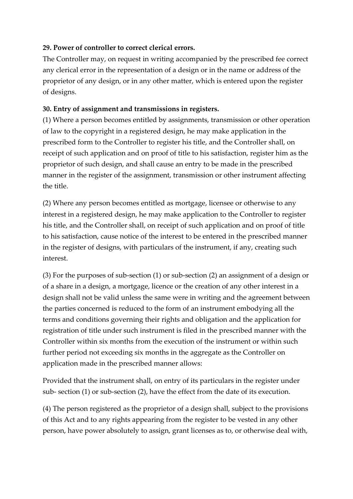#### **29. Power of controller to correct clerical errors.**

The Controller may, on request in writing accompanied by the prescribed fee correct any clerical error in the representation of a design or in the name or address of the proprietor of any design, or in any other matter, which is entered upon the register of designs.

#### **30. Entry of assignment and transmissions in registers.**

(1) Where a person becomes entitled by assignments, transmission or other operation of law to the copyright in a registered design, he may make application in the prescribed form to the Controller to register his title, and the Controller shall, on receipt of such application and on proof of title to his satisfaction, register him as the proprietor of such design, and shall cause an entry to be made in the prescribed manner in the register of the assignment, transmission or other instrument affecting the title.

(2) Where any person becomes entitled as mortgage, licensee or otherwise to any interest in a registered design, he may make application to the Controller to register his title, and the Controller shall, on receipt of such application and on proof of title to his satisfaction, cause notice of the interest to be entered in the prescribed manner in the register of designs, with particulars of the instrument, if any, creating such interest.

(3) For the purposes of sub-section (1) or sub-section (2) an assignment of a design or of a share in a design, a mortgage, licence or the creation of any other interest in a design shall not be valid unless the same were in writing and the agreement between the parties concerned is reduced to the form of an instrument embodying all the terms and conditions governing their rights and obligation and the application for registration of title under such instrument is filed in the prescribed manner with the Controller within six months from the execution of the instrument or within such further period not exceeding six months in the aggregate as the Controller on application made in the prescribed manner allows:

Provided that the instrument shall, on entry of its particulars in the register under sub- section (1) or sub-section (2), have the effect from the date of its execution.

(4) The person registered as the proprietor of a design shall, subject to the provisions of this Act and to any rights appearing from the register to be vested in any other person, have power absolutely to assign, grant licenses as to, or otherwise deal with,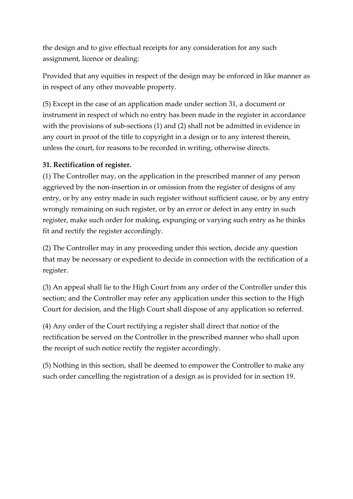the design and to give effectual receipts for any consideration for any such assignment, licence or dealing:

Provided that any equities in respect of the design may be enforced in like manner as in respect of any other moveable property.

(5) Except in the case of an application made under section 31, a document or instrument in respect of which no entry has been made in the register in accordance with the provisions of sub-sections (1) and (2) shall not be admitted in evidence in any court in proof of the title to copyright in a design or to any interest therein, unless the court, for reasons to be recorded in writing, otherwise directs.

#### **31. Rectification of register.**

(1) The Controller may, on the application in the prescribed manner of any person aggrieved by the non-insertion in or omission from the register of designs of any entry, or by any entry made in such register without sufficient cause, or by any entry wrongly remaining on such register, or by an error or defect in any entry in such register, make such order for making, expunging or varying such entry as he thinks fit and rectify the register accordingly.

(2) The Controller may in any proceeding under this section, decide any question that may be necessary or expedient to decide in connection with the rectification of a register.

(3) An appeal shall lie to the High Court from any order of the Controller under this section; and the Controller may refer any application under this section to the High Court for decision, and the High Court shall dispose of any application so referred.

(4) Any order of the Court rectifying a register shall direct that notice of the rectification be served on the Controller in the prescribed manner who shall upon the receipt of such notice rectify the register accordingly.

(5) Nothing in this section, shall be deemed to empower the Controller to make any such order cancelling the registration of a design as is provided for in section 19.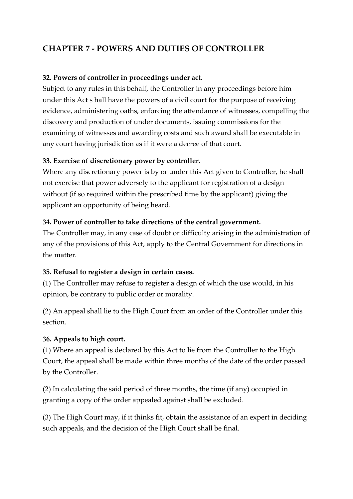# **CHAPTER 7 - POWERS AND DUTIES OF CONTROLLER**

#### **32. Powers of controller in proceedings under act.**

Subject to any rules in this behalf, the Controller in any proceedings before him under this Act s hall have the powers of a civil court for the purpose of receiving evidence, administering oaths, enforcing the attendance of witnesses, compelling the discovery and production of under documents, issuing commissions for the examining of witnesses and awarding costs and such award shall be executable in any court having jurisdiction as if it were a decree of that court.

#### **33. Exercise of discretionary power by controller.**

Where any discretionary power is by or under this Act given to Controller, he shall not exercise that power adversely to the applicant for registration of a design without (if so required within the prescribed time by the applicant) giving the applicant an opportunity of being heard.

#### **34. Power of controller to take directions of the central government.**

The Controller may, in any case of doubt or difficulty arising in the administration of any of the provisions of this Act, apply to the Central Government for directions in the matter.

## **35. Refusal to register a design in certain cases.**

(1) The Controller may refuse to register a design of which the use would, in his opinion, be contrary to public order or morality.

(2) An appeal shall lie to the High Court from an order of the Controller under this section.

#### **36. Appeals to high court.**

(1) Where an appeal is declared by this Act to lie from the Controller to the High Court, the appeal shall be made within three months of the date of the order passed by the Controller.

(2) In calculating the said period of three months, the time (if any) occupied in granting a copy of the order appealed against shall be excluded.

(3) The High Court may, if it thinks fit, obtain the assistance of an expert in deciding such appeals, and the decision of the High Court shall be final.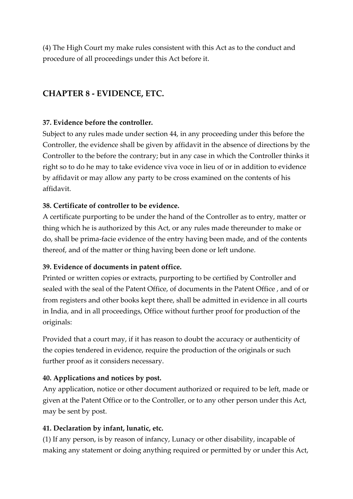(4) The High Court my make rules consistent with this Act as to the conduct and procedure of all proceedings under this Act before it.

# **CHAPTER 8 - EVIDENCE, ETC.**

#### **37. Evidence before the controller.**

Subject to any rules made under section 44, in any proceeding under this before the Controller, the evidence shall be given by affidavit in the absence of directions by the Controller to the before the contrary; but in any case in which the Controller thinks it right so to do he may to take evidence viva voce in lieu of or in addition to evidence by affidavit or may allow any party to be cross examined on the contents of his affidavit.

#### **38. Certificate of controller to be evidence.**

A certificate purporting to be under the hand of the Controller as to entry, matter or thing which he is authorized by this Act, or any rules made thereunder to make or do, shall be prima-facie evidence of the entry having been made, and of the contents thereof, and of the matter or thing having been done or left undone.

#### **39. Evidence of documents in patent office.**

Printed or written copies or extracts, purporting to be certified by Controller and sealed with the seal of the Patent Office, of documents in the Patent Office , and of or from registers and other books kept there, shall be admitted in evidence in all courts in India, and in all proceedings, Office without further proof for production of the originals:

Provided that a court may, if it has reason to doubt the accuracy or authenticity of the copies tendered in evidence, require the production of the originals or such further proof as it considers necessary.

## **40. Applications and notices by post.**

Any application, notice or other document authorized or required to be left, made or given at the Patent Office or to the Controller, or to any other person under this Act, may be sent by post.

## **41. Declaration by infant, lunatic, etc.**

(1) If any person, is by reason of infancy, Lunacy or other disability, incapable of making any statement or doing anything required or permitted by or under this Act,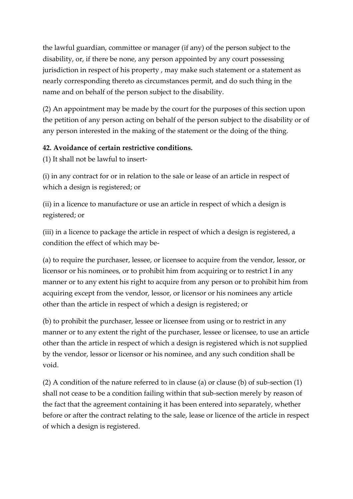the lawful guardian, committee or manager (if any) of the person subject to the disability, or, if there be none, any person appointed by any court possessing jurisdiction in respect of his property , may make such statement or a statement as nearly corresponding thereto as circumstances permit, and do such thing in the name and on behalf of the person subject to the disability.

(2) An appointment may be made by the court for the purposes of this section upon the petition of any person acting on behalf of the person subject to the disability or of any person interested in the making of the statement or the doing of the thing.

#### **42. Avoidance of certain restrictive conditions.**

(1) It shall not be lawful to insert-

(i) in any contract for or in relation to the sale or lease of an article in respect of which a design is registered; or

(ii) in a licence to manufacture or use an article in respect of which a design is registered; or

(iii) in a licence to package the article in respect of which a design is registered, a condition the effect of which may be-

(a) to require the purchaser, lessee, or licensee to acquire from the vendor, lessor, or licensor or his nominees, or to prohibit him from acquiring or to restrict I in any manner or to any extent his right to acquire from any person or to prohibit him from acquiring except from the vendor, lessor, or licensor or his nominees any article other than the article in respect of which a design is registered; or

(b) to prohibit the purchaser, lessee or licensee from using or to restrict in any manner or to any extent the right of the purchaser, lessee or licensee, to use an article other than the article in respect of which a design is registered which is not supplied by the vendor, lessor or licensor or his nominee, and any such condition shall be void.

(2) A condition of the nature referred to in clause (a) or clause (b) of sub-section (1) shall not cease to be a condition failing within that sub-section merely by reason of the fact that the agreement containing it has been entered into separately, whether before or after the contract relating to the sale, lease or licence of the article in respect of which a design is registered.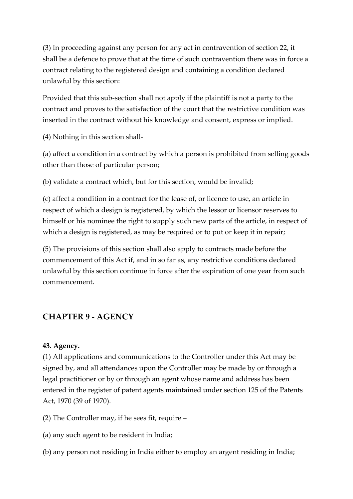(3) In proceeding against any person for any act in contravention of section 22, it shall be a defence to prove that at the time of such contravention there was in force a contract relating to the registered design and containing a condition declared unlawful by this section:

Provided that this sub-section shall not apply if the plaintiff is not a party to the contract and proves to the satisfaction of the court that the restrictive condition was inserted in the contract without his knowledge and consent, express or implied.

(4) Nothing in this section shall-

(a) affect a condition in a contract by which a person is prohibited from selling goods other than those of particular person;

(b) validate a contract which, but for this section, would be invalid;

(c) affect a condition in a contract for the lease of, or licence to use, an article in respect of which a design is registered, by which the lessor or licensor reserves to himself or his nominee the right to supply such new parts of the article, in respect of which a design is registered, as may be required or to put or keep it in repair;

(5) The provisions of this section shall also apply to contracts made before the commencement of this Act if, and in so far as, any restrictive conditions declared unlawful by this section continue in force after the expiration of one year from such commencement.

# **CHAPTER 9 - AGENCY**

#### **43. Agency.**

(1) All applications and communications to the Controller under this Act may be signed by, and all attendances upon the Controller may be made by or through a legal practitioner or by or through an agent whose name and address has been entered in the register of patent agents maintained under section 125 of the Patents Act, 1970 (39 of 1970).

(2) The Controller may, if he sees fit, require –

- (a) any such agent to be resident in India;
- (b) any person not residing in India either to employ an argent residing in India;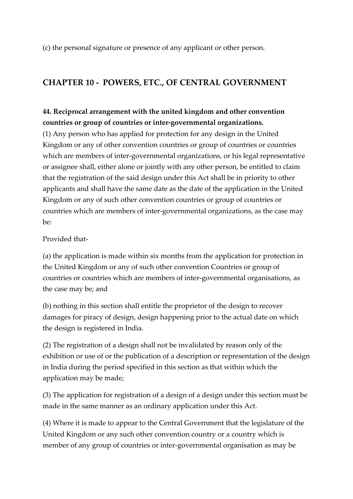(c) the personal signature or presence of any applicant or other person.

# **CHAPTER 10 - POWERS, ETC., OF CENTRAL GOVERNMENT**

# **44. Reciprocal arrangement with the united kingdom and other convention countries or group of countries or inter-governmental organizations.**

(1) Any person who has applied for protection for any design in the United Kingdom or any of other convention countries or group of countries or countries which are members of inter-governmental organizations, or his legal representative or assignee shall, either alone or jointly with any other person, be entitled to claim that the registration of the said design under this Act shall be in priority to other applicants and shall have the same date as the date of the application in the United Kingdom or any of such other convention countries or group of countries or countries which are members of inter-governmental organizations, as the case may  $he$ 

Provided that-

(a) the application is made within six months from the application for protection in the United Kingdom or any of such other convention Countries or group of countries or countries which are members of inter-governmental organisations, as the case may be; and

(b) nothing in this section shall entitle the proprietor of the design to recover damages for piracy of design, design happening prior to the actual date on which the design is registered in India.

(2) The registration of a design shall not be invalidated by reason only of the exhibition or use of or the publication of a description or representation of the design in India during the period specified in this section as that within which the application may be made;

(3) The application for registration of a design of a design under this section must be made in the same manner as an ordinary application under this Act.

(4) Where it is made to appear to the Central Government that the legislature of the United Kingdom or any such other convention country or a country which is member of any group of countries or inter-governmental organisation as may be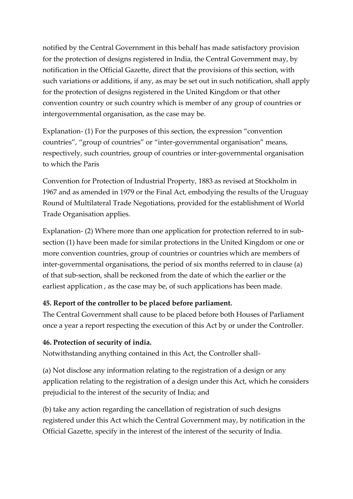notified by the Central Government in this behalf has made satisfactory provision for the protection of designs registered in India, the Central Government may, by notification in the Official Gazette, direct that the provisions of this section, with such variations or additions, if any, as may be set out in such notification, shall apply for the protection of designs registered in the United Kingdom or that other convention country or such country which is member of any group of countries or intergovernmental organisation, as the case may be.

Explanation- (1) For the purposes of this section, the expression "convention countries", "group of countries" or "inter-governmental organisation" means, respectively, such countries, group of countries or inter-governmental organisation to which the Paris

Convention for Protection of Industrial Property, 1883 as revised at Stockholm in 1967 and as amended in 1979 or the Final Act, embodying the results of the Uruguay Round of Multilateral Trade Negotiations, provided for the establishment of World Trade Organisation applies.

Explanation- (2) Where more than one application for protection referred to in subsection (1) have been made for similar protections in the United Kingdom or one or more convention countries, group of countries or countries which are members of inter-governmental organisations, the period of six months referred to in clause (a) of that sub-section, shall be reckoned from the date of which the earlier or the earliest application , as the case may be, of such applications has been made.

## **45. Report of the controller to be placed before parliament.**

The Central Government shall cause to be placed before both Houses of Parliament once a year a report respecting the execution of this Act by or under the Controller.

# **46. Protection of security of india.**

Notwithstanding anything contained in this Act, the Controller shall-

(a) Not disclose any information relating to the registration of a design or any application relating to the registration of a design under this Act, which he considers prejudicial to the interest of the security of India; and

(b) take any action regarding the cancellation of registration of such designs registered under this Act which the Central Government may, by notification in the Official Gazette, specify in the interest of the interest of the security of India.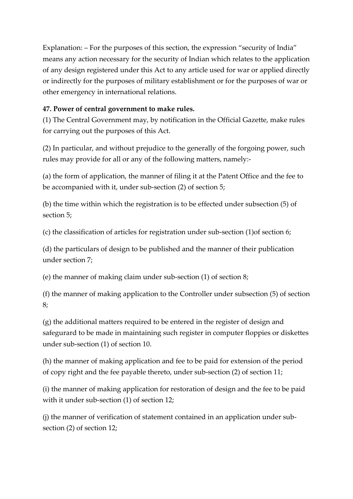Explanation: – For the purposes of this section, the expression "security of India" means any action necessary for the security of Indian which relates to the application of any design registered under this Act to any article used for war or applied directly or indirectly for the purposes of military establishment or for the purposes of war or other emergency in international relations.

## **47. Power of central government to make rules.**

(1) The Central Government may, by notification in the Official Gazette, make rules for carrying out the purposes of this Act.

(2) In particular, and without prejudice to the generally of the forgoing power, such rules may provide for all or any of the following matters, namely:-

(a) the form of application, the manner of filing it at the Patent Office and the fee to be accompanied with it, under sub-section (2) of section 5;

(b) the time within which the registration is to be effected under subsection (5) of section 5;

(c) the classification of articles for registration under sub-section (1)of section 6;

(d) the particulars of design to be published and the manner of their publication under section 7;

(e) the manner of making claim under sub-section (1) of section 8;

(f) the manner of making application to the Controller under subsection (5) of section 8;

(g) the additional matters required to be entered in the register of design and safegurard to be made in maintaining such register in computer floppies or diskettes under sub-section (1) of section 10.

(h) the manner of making application and fee to be paid for extension of the period of copy right and the fee payable thereto, under sub-section (2) of section 11;

(i) the manner of making application for restoration of design and the fee to be paid with it under sub-section (1) of section 12;

(j) the manner of verification of statement contained in an application under subsection (2) of section 12;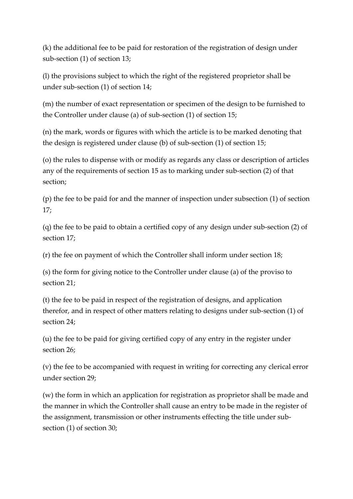(k) the additional fee to be paid for restoration of the registration of design under sub-section (1) of section 13;

(l) the provisions subject to which the right of the registered proprietor shall be under sub-section (1) of section 14;

(m) the number of exact representation or specimen of the design to be furnished to the Controller under clause (a) of sub-section (1) of section 15;

(n) the mark, words or figures with which the article is to be marked denoting that the design is registered under clause (b) of sub-section (1) of section 15;

(o) the rules to dispense with or modify as regards any class or description of articles any of the requirements of section 15 as to marking under sub-section (2) of that section;

(p) the fee to be paid for and the manner of inspection under subsection (1) of section 17;

(q) the fee to be paid to obtain a certified copy of any design under sub-section (2) of section 17;

(r) the fee on payment of which the Controller shall inform under section 18;

(s) the form for giving notice to the Controller under clause (a) of the proviso to section 21;

(t) the fee to be paid in respect of the registration of designs, and application therefor, and in respect of other matters relating to designs under sub-section (1) of section 24;

(u) the fee to be paid for giving certified copy of any entry in the register under section 26;

(v) the fee to be accompanied with request in writing for correcting any clerical error under section 29;

(w) the form in which an application for registration as proprietor shall be made and the manner in which the Controller shall cause an entry to be made in the register of the assignment, transmission or other instruments effecting the title under subsection (1) of section 30;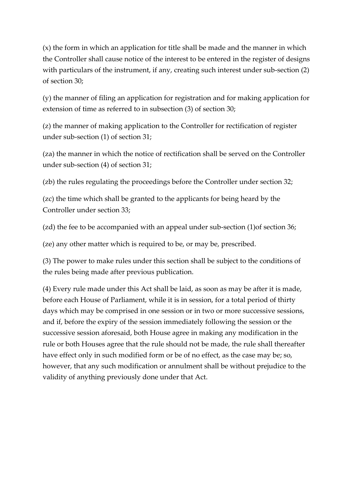(x) the form in which an application for title shall be made and the manner in which the Controller shall cause notice of the interest to be entered in the register of designs with particulars of the instrument, if any, creating such interest under sub-section (2) of section 30;

(y) the manner of filing an application for registration and for making application for extension of time as referred to in subsection (3) of section 30;

(z) the manner of making application to the Controller for rectification of register under sub-section (1) of section 31;

(za) the manner in which the notice of rectification shall be served on the Controller under sub-section (4) of section 31;

(zb) the rules regulating the proceedings before the Controller under section 32;

(zc) the time which shall be granted to the applicants for being heard by the Controller under section 33;

(zd) the fee to be accompanied with an appeal under sub-section (1)of section 36;

(ze) any other matter which is required to be, or may be, prescribed.

(3) The power to make rules under this section shall be subject to the conditions of the rules being made after previous publication.

(4) Every rule made under this Act shall be laid, as soon as may be after it is made, before each House of Parliament, while it is in session, for a total period of thirty days which may be comprised in one session or in two or more successive sessions, and if, before the expiry of the session immediately following the session or the successive session aforesaid, both House agree in making any modification in the rule or both Houses agree that the rule should not be made, the rule shall thereafter have effect only in such modified form or be of no effect, as the case may be; so, however, that any such modification or annulment shall be without prejudice to the validity of anything previously done under that Act.